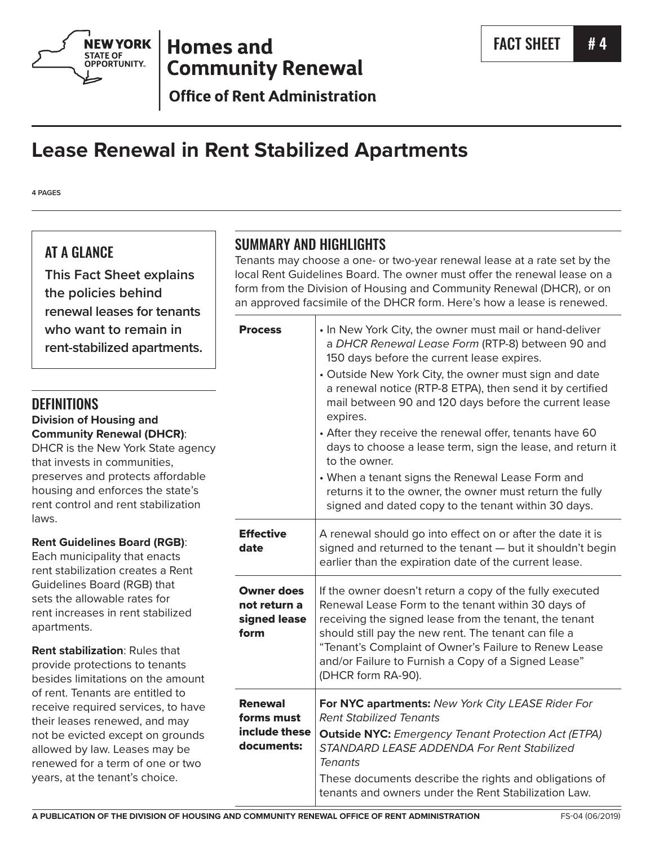

## **Homes and Community Renewal**

**Office of Rent Administration** 

# **Lease Renewal in Rent Stabilized Apartments**

**4 PAGES**

## AT A GLANCE

**This Fact Sheet explains the policies behind renewal leases for tenants who want to remain in rent-stabilized apartments.**

### **DEFINITIONS**

#### **Division of Housing and Community Renewal (DHCR)**:

DHCR is the New York State agency that invests in communities, preserves and protects affordable housing and enforces the state's rent control and rent stabilization laws.

#### **Rent Guidelines Board (RGB)**:

Each municipality that enacts rent stabilization creates a Rent Guidelines Board (RGB) that sets the allowable rates for rent increases in rent stabilized apartments.

**Rent stabilization**: Rules that provide protections to tenants besides limitations on the amount of rent. Tenants are entitled to receive required services, to have their leases renewed, and may not be evicted except on grounds allowed by law. Leases may be renewed for a term of one or two years, at the tenant's choice.

## SUMMARY AND HIGHLIGHTS

Tenants may choose a one- or two-year renewal lease at a rate set by the local Rent Guidelines Board. The owner must offer the renewal lease on a form from the Division of Housing and Community Renewal (DHCR), or on an approved facsimile of the DHCR form. Here's how a lease is renewed.

| <b>Process</b>                                              | • In New York City, the owner must mail or hand-deliver<br>a DHCR Renewal Lease Form (RTP-8) between 90 and<br>150 days before the current lease expires.<br>• Outside New York City, the owner must sign and date<br>a renewal notice (RTP-8 ETPA), then send it by certified<br>mail between 90 and 120 days before the current lease<br>expires.<br>• After they receive the renewal offer, tenants have 60<br>days to choose a lease term, sign the lease, and return it<br>to the owner.<br>• When a tenant signs the Renewal Lease Form and<br>returns it to the owner, the owner must return the fully<br>signed and dated copy to the tenant within 30 days. |
|-------------------------------------------------------------|----------------------------------------------------------------------------------------------------------------------------------------------------------------------------------------------------------------------------------------------------------------------------------------------------------------------------------------------------------------------------------------------------------------------------------------------------------------------------------------------------------------------------------------------------------------------------------------------------------------------------------------------------------------------|
| <b>Effective</b><br>date                                    | A renewal should go into effect on or after the date it is<br>signed and returned to the tenant - but it shouldn't begin<br>earlier than the expiration date of the current lease.                                                                                                                                                                                                                                                                                                                                                                                                                                                                                   |
| <b>Owner does</b><br>not return a<br>signed lease<br>form   | If the owner doesn't return a copy of the fully executed<br>Renewal Lease Form to the tenant within 30 days of<br>receiving the signed lease from the tenant, the tenant<br>should still pay the new rent. The tenant can file a<br>"Tenant's Complaint of Owner's Failure to Renew Lease<br>and/or Failure to Furnish a Copy of a Signed Lease"<br>(DHCR form RA-90).                                                                                                                                                                                                                                                                                               |
| <b>Renewal</b><br>forms must<br>include these<br>documents: | For NYC apartments: New York City LEASE Rider For<br><b>Rent Stabilized Tenants</b><br><b>Outside NYC:</b> Emergency Tenant Protection Act (ETPA)<br>STANDARD LEASE ADDENDA For Rent Stabilized<br>Tenants<br>These documents describe the rights and obligations of<br>tenants and owners under the Rent Stabilization Law.                                                                                                                                                                                                                                                                                                                                         |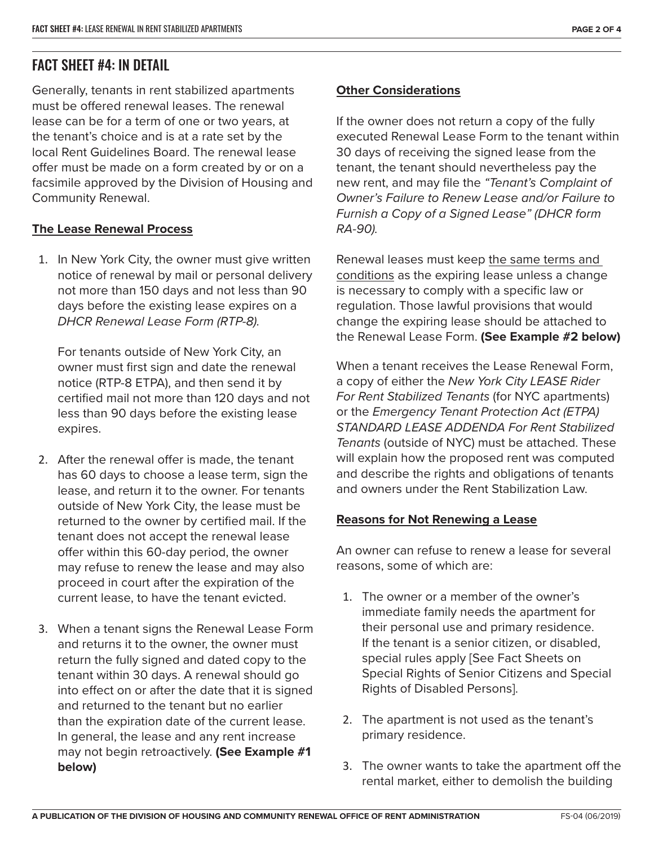## FACT SHEET #4: IN DETAIL

Generally, tenants in rent stabilized apartments must be offered renewal leases. The renewal lease can be for a term of one or two years, at the tenant's choice and is at a rate set by the local Rent Guidelines Board. The renewal lease offer must be made on a form created by or on a facsimile approved by the Division of Housing and Community Renewal.

#### **The Lease Renewal Process**

1. In New York City, the owner must give written notice of renewal by mail or personal delivery not more than 150 days and not less than 90 days before the existing lease expires on a *DHCR Renewal Lease Form (RTP-8).*

For tenants outside of New York City, an owner must first sign and date the renewal notice (RTP-8 ETPA), and then send it by certified mail not more than 120 days and not less than 90 days before the existing lease expires.

- 2. After the renewal offer is made, the tenant has 60 days to choose a lease term, sign the lease, and return it to the owner. For tenants outside of New York City, the lease must be returned to the owner by certified mail. If the tenant does not accept the renewal lease offer within this 60-day period, the owner may refuse to renew the lease and may also proceed in court after the expiration of the current lease, to have the tenant evicted.
- 3. When a tenant signs the Renewal Lease Form and returns it to the owner, the owner must return the fully signed and dated copy to the tenant within 30 days. A renewal should go into effect on or after the date that it is signed and returned to the tenant but no earlier than the expiration date of the current lease. In general, the lease and any rent increase may not begin retroactively. **(See Example #1 below)**

#### **Other Considerations**

If the owner does not return a copy of the fully executed Renewal Lease Form to the tenant within 30 days of receiving the signed lease from the tenant, the tenant should nevertheless pay the new rent, and may file the *"Tenant's Complaint of Owner's Failure to Renew Lease and/or Failure to Furnish a Copy of a Signed Lease" (DHCR form RA-90).* 

Renewal leases must keep the same terms and conditions as the expiring lease unless a change is necessary to comply with a specific law or regulation. Those lawful provisions that would change the expiring lease should be attached to the Renewal Lease Form. **(See Example #2 below)**

When a tenant receives the Lease Renewal Form, a copy of either the *New York City LEASE Rider For Rent Stabilized Tenants* (for NYC apartments) or the *Emergency Tenant Protection Act (ETPA) STANDARD LEASE ADDENDA For Rent Stabilized Tenants* (outside of NYC) must be attached. These will explain how the proposed rent was computed and describe the rights and obligations of tenants and owners under the Rent Stabilization Law.

#### **Reasons for Not Renewing a Lease**

An owner can refuse to renew a lease for several reasons, some of which are:

- 1. The owner or a member of the owner's immediate family needs the apartment for their personal use and primary residence. If the tenant is a senior citizen, or disabled, special rules apply [See Fact Sheets on Special Rights of Senior Citizens and Special Rights of Disabled Persons].
- 2. The apartment is not used as the tenant's primary residence.
- 3. The owner wants to take the apartment off the rental market, either to demolish the building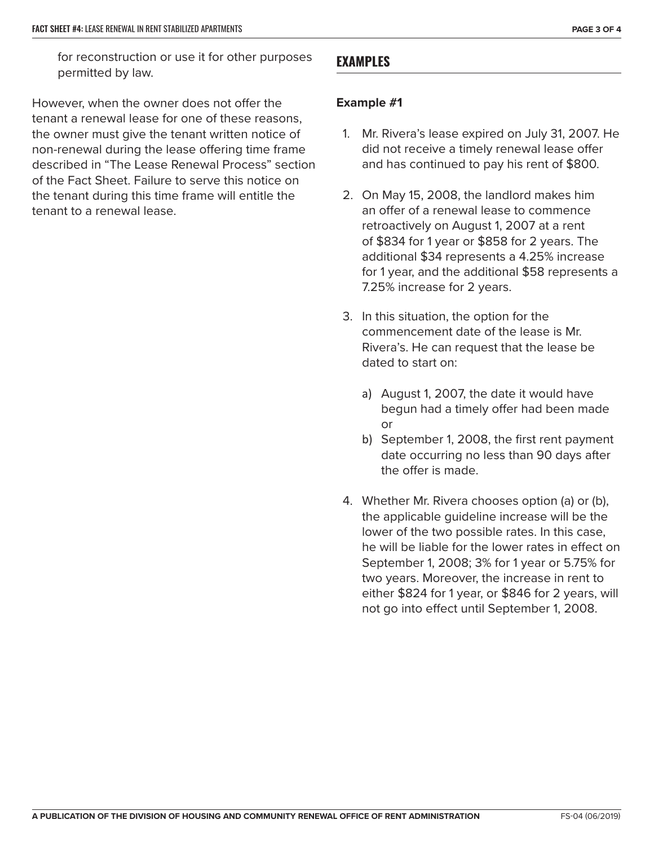for reconstruction or use it for other purposes permitted by law.

However, when the owner does not offer the tenant a renewal lease for one of these reasons, the owner must give the tenant written notice of non-renewal during the lease offering time frame described in "The Lease Renewal Process" section of the Fact Sheet. Failure to serve this notice on the tenant during this time frame will entitle the tenant to a renewal lease.

#### **EXAMPLES**

#### **Example #1**

- 1. Mr. Rivera's lease expired on July 31, 2007. He did not receive a timely renewal lease offer and has continued to pay his rent of \$800.
- 2. On May 15, 2008, the landlord makes him an offer of a renewal lease to commence retroactively on August 1, 2007 at a rent of \$834 for 1 year or \$858 for 2 years. The additional \$34 represents a 4.25% increase for 1 year, and the additional \$58 represents a 7.25% increase for 2 years.
- 3. In this situation, the option for the commencement date of the lease is Mr. Rivera's. He can request that the lease be dated to start on:
	- a) August 1, 2007, the date it would have begun had a timely offer had been made or
	- b) September 1, 2008, the first rent payment date occurring no less than 90 days after the offer is made.
- 4. Whether Mr. Rivera chooses option (a) or (b), the applicable guideline increase will be the lower of the two possible rates. In this case, he will be liable for the lower rates in effect on September 1, 2008; 3% for 1 year or 5.75% for two years. Moreover, the increase in rent to either \$824 for 1 year, or \$846 for 2 years, will not go into effect until September 1, 2008.